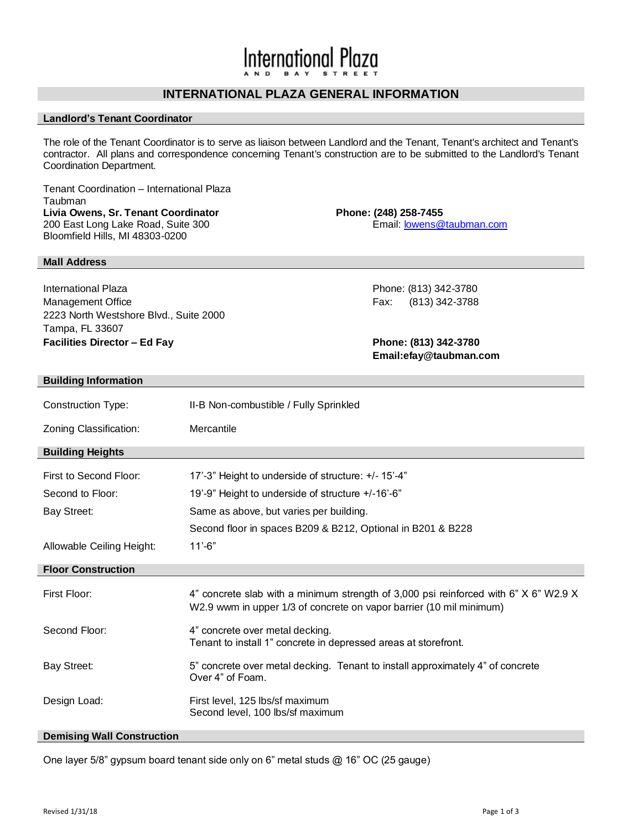# **International Plaza**

# **INTERNATIONAL PLAZA GENERAL INFORMATION**

# **Landlord's Tenant Coordinator**

The role of the Tenant Coordinator is to serve as liaison between Landlord and the Tenant, Tenant's architect and Tenant's contractor. All plans and correspondence concerning Tenant's construction are to be submitted to the Landlord's Tenant Coordination Department.

Tenant Coordination – International Plaza **Taubman Livia Owens, Sr. Tenant Coordinator Phone: (248) 258-7455** 200 East Long Lake Road, Suite 300 **Email:** [lowens@taubman.com](mailto:rschoenrath@taubman.com) Bloomfield Hills, MI 48303-0200

## **Mall Address**

International Plaza Phone: (813) 342-3780 Management Office **Fax:** (813) 342-3788 2223 North Westshore Blvd., Suite 2000 Tampa, FL 33607 **Facilities Director – Ed Fay Phone: (813) 342-3780**

**Email:efay@taubman.com**

### **Building Information**

| <b>Construction Type:</b> | II-B Non-combustible / Fully Sprinkled                                                                                                                      |  |  |
|---------------------------|-------------------------------------------------------------------------------------------------------------------------------------------------------------|--|--|
| Zoning Classification:    | Mercantile                                                                                                                                                  |  |  |
| <b>Building Heights</b>   |                                                                                                                                                             |  |  |
| First to Second Floor:    | 17'-3" Height to underside of structure: +/- 15'-4"                                                                                                         |  |  |
| Second to Floor:          | 19'-9" Height to underside of structure +/-16'-6"                                                                                                           |  |  |
| <b>Bay Street:</b>        | Same as above, but varies per building.                                                                                                                     |  |  |
|                           | Second floor in spaces B209 & B212, Optional in B201 & B228                                                                                                 |  |  |
| Allowable Ceiling Height: | $11' - 6"$                                                                                                                                                  |  |  |
| <b>Floor Construction</b> |                                                                                                                                                             |  |  |
| First Floor:              | 4" concrete slab with a minimum strength of 3,000 psi reinforced with 6" X 6" W2.9 X<br>W2.9 wwm in upper 1/3 of concrete on vapor barrier (10 mil minimum) |  |  |
| Second Floor:             | 4" concrete over metal decking.                                                                                                                             |  |  |
|                           | Tenant to install 1" concrete in depressed areas at storefront.                                                                                             |  |  |
| Bay Street:               | 5" concrete over metal decking. Tenant to install approximately 4" of concrete<br>Over 4" of Foam.                                                          |  |  |

#### **Demising Wall Construction**

One layer 5/8" gypsum board tenant side only on 6" metal studs @ 16" OC (25 gauge)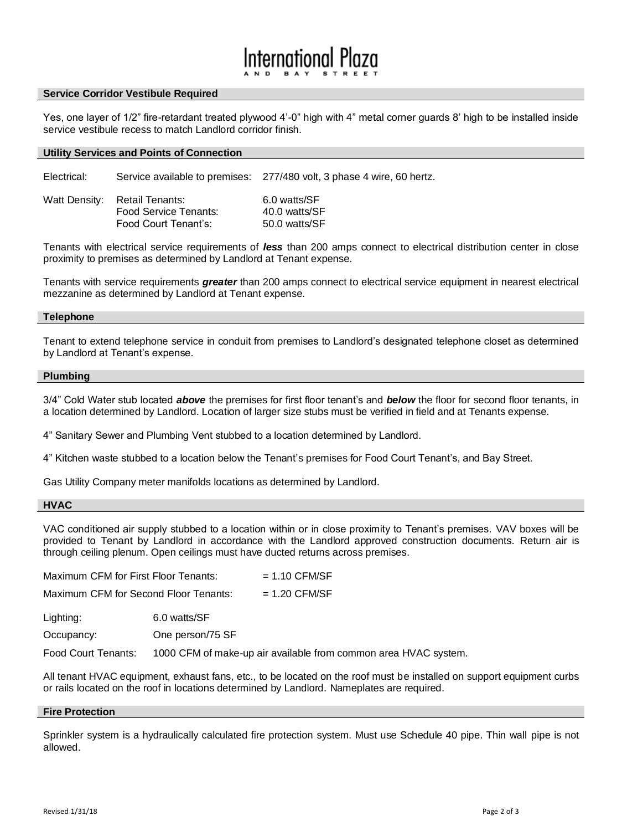# Innoitnnal

#### **Service Corridor Vestibule Required**

Yes, one layer of 1/2" fire-retardant treated plywood 4'-0" high with 4" metal corner guards 8' high to be installed inside service vestibule recess to match Landlord corridor finish.

#### **Utility Services and Points of Connection**

Electrical: Service available to premises: 277/480 volt, 3 phase 4 wire, 60 hertz.

| Watt Density: Retail Tenants: | 6.0 watts/SF  |
|-------------------------------|---------------|
| Food Service Tenants:         | 40.0 watts/SF |
| Food Court Tenant's:          | 50.0 watts/SF |

Tenants with electrical service requirements of *less* than 200 amps connect to electrical distribution center in close proximity to premises as determined by Landlord at Tenant expense.

Tenants with service requirements *greater* than 200 amps connect to electrical service equipment in nearest electrical mezzanine as determined by Landlord at Tenant expense.

#### **Telephone**

Tenant to extend telephone service in conduit from premises to Landlord's designated telephone closet as determined by Landlord at Tenant's expense.

#### **Plumbing**

3/4" Cold Water stub located *above* the premises for first floor tenant's and *below* the floor for second floor tenants, in a location determined by Landlord. Location of larger size stubs must be verified in field and at Tenants expense.

4" Sanitary Sewer and Plumbing Vent stubbed to a location determined by Landlord.

4" Kitchen waste stubbed to a location below the Tenant's premises for Food Court Tenant's, and Bay Street.

Gas Utility Company meter manifolds locations as determined by Landlord.

## **HVAC**

VAC conditioned air supply stubbed to a location within or in close proximity to Tenant's premises. VAV boxes will be provided to Tenant by Landlord in accordance with the Landlord approved construction documents. Return air is through ceiling plenum. Open ceilings must have ducted returns across premises.

| Maximum CFM for First Floor Tenants:  |                  | $= 1.10$ CFM/SF                                                 |
|---------------------------------------|------------------|-----------------------------------------------------------------|
| Maximum CFM for Second Floor Tenants: |                  | $= 1.20$ CFM/SF                                                 |
| Lighting:                             | 6.0 watts/SF     |                                                                 |
| Occupancy:                            | One person/75 SF |                                                                 |
| Food Court Tenants:                   |                  | 1000 CFM of make-up air available from common area HVAC system. |

All tenant HVAC equipment, exhaust fans, etc., to be located on the roof must be installed on support equipment curbs

# or rails located on the roof in locations determined by Landlord. Nameplates are required.

# **Fire Protection**

Sprinkler system is a hydraulically calculated fire protection system. Must use Schedule 40 pipe. Thin wall pipe is not allowed.